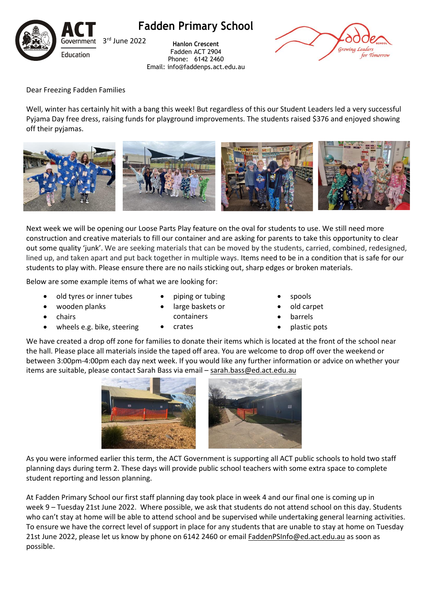

**Fadden Primary School**

**Hanlon Crescent** Fadden ACT 2904 Phone: 6142 2460 Email: info@faddenps.act.edu.au



Dear Freezing Fadden Families

Well, winter has certainly hit with a bang this week! But regardless of this our Student Leaders led a very successful Pyjama Day free dress, raising funds for playground improvements. The students raised \$376 and enjoyed showing off their pyjamas.



Next week we will be opening our Loose Parts Play feature on the oval for students to use. We still need more construction and creative materials to fill our container and are asking for parents to take this opportunity to clear out some quality 'junk'. We are seeking materials that can be moved by the students, carried, combined, redesigned, lined up, and taken apart and put back together in multiple ways. Items need to be in a condition that is safe for our students to play with. Please ensure there are no nails sticking out, sharp edges or broken materials.

Below are some example items of what we are looking for:

- old tyres or inner tubes
- wooden planks
- chairs
- wheels e.g. bike, steering
- piping or tubing large baskets or containers

• crates

- spools
- old carpet
- **barrels**
- plastic pots

We have created a drop off zone for families to donate their items which is located at the front of the school near the hall. Please place all materials inside the taped off area. You are welcome to drop off over the weekend or between 3:00pm-4:00pm each day next week. If you would like any further information or advice on whether your items are suitable, please contact Sarah Bass via email – [sarah.bass@ed.act.edu.au](mailto:sarah.bass@ed.act.edu.au)



As you were informed earlier this term, the ACT Government is supporting all ACT public schools to hold two staff planning days during term 2. These days will provide public school teachers with some extra space to complete student reporting and lesson planning.

At Fadden Primary School our first staff planning day took place in week 4 and our final one is coming up in week 9 – Tuesday 21st June 2022. Where possible, we ask that students do not attend school on this day. Students who can't stay at home will be able to attend school and be supervised while undertaking general learning activities. To ensure we have the correct level of support in place for any students that are unable to stay at home on Tuesday 21st June 2022, please let us know by phone on 6142 2460 or emai[l FaddenPSInfo@ed.act.edu.au](mailto:FaddenPSInfo@ed.act.edu.au) as soon as possible.